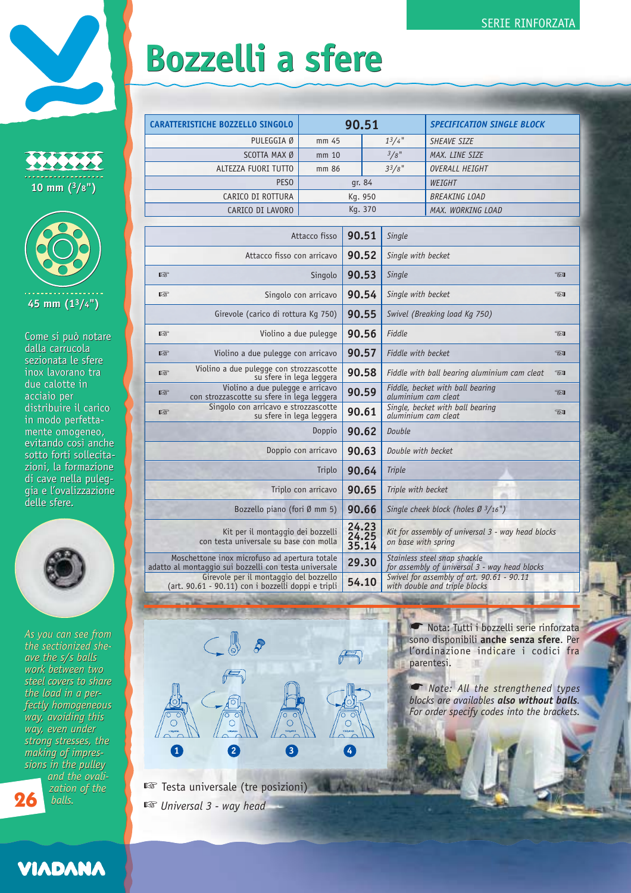## **Bozzelli a sfere Bozzelli a sfere**

| . .<br>10 mm $(3/8")$ |  |
|-----------------------|--|



Come si può notare dalla carrucola dalla carrucola<br>sezionata le sfere inox lavorano tra inox lavorano tra due calotte in due calotte inacciaio per acciaio per distribuire il carico distribuire il carico in modo perfetta-in perfettamente omogeneo, mente omogeneo, evitando così anche evitando così anche sotto forti sollecita-sotto forti sollecitazioni, la formazione zioni, la formazione<br>di cave nella puleggia e l'ovalizzazione gia e l'ovalizzazione delle sfere. delle sfere.



*As you can see from As you can see from the sectionized she-the sectionized sheave the s/s balls work between two ave the s/s ballswork between two steel covers to share steel covers to share the load in a per-the load in a perfectly homogeneous fectly homogeneous way, avoiding this way, avoiding thisway, even under way, even under strong stresses, the making of impres-strong stresses, themaking of impressions in the pulley sions in the pulley and the ovalization of the balls.* **Come si può notare**<br> **dalla carrucola**<br> **sezionata le sfere**<br> **inox lavorano tra**<br> **due calotte in**<br> **acciaio per**<br> **distribuire il carico**<br> **in modo perfetta-**<br> **mente omogeneo,**<br> **evitando così anchestarion**<br> **di cave n 26**

**VIADANA** 

| <b>CARATTERISTICHE BOZZELLO SINGOLO</b>                                                                | 90.51                               |       |                                                                            | <b>SPECIFICATION SINGLE BLOCK</b>                                             |                           |     |  |  |
|--------------------------------------------------------------------------------------------------------|-------------------------------------|-------|----------------------------------------------------------------------------|-------------------------------------------------------------------------------|---------------------------|-----|--|--|
| PULEGGIA Ø                                                                                             | mm 45                               |       |                                                                            | $1^3/4$ "                                                                     | <b>SHEAVE SIZE</b>        |     |  |  |
| SCOTTA MAX Ø                                                                                           | mm 10                               |       |                                                                            | $3/8$ "                                                                       | MAX. LINE SIZE            |     |  |  |
| ALTEZZA FUORI TUTTO                                                                                    | mm 86                               |       |                                                                            | $3^{3}/8$ "                                                                   | OVERALL HEIGHT            |     |  |  |
| PES <sub>0</sub>                                                                                       | qr. 84                              |       |                                                                            | WEIGHT                                                                        |                           |     |  |  |
| CARICO DI ROTTURA                                                                                      | Kg. 950                             |       |                                                                            | <b>BREAKING LOAD</b>                                                          |                           |     |  |  |
| CARICO DI LAVORO                                                                                       | Kg. 370                             |       |                                                                            | MAX. WORKING LOAD                                                             |                           |     |  |  |
|                                                                                                        |                                     |       |                                                                            |                                                                               |                           |     |  |  |
|                                                                                                        | Attacco fisso                       | 90.51 |                                                                            | Single                                                                        |                           |     |  |  |
|                                                                                                        | 90.52<br>Attacco fisso con arricavo |       |                                                                            | Single with becket                                                            |                           |     |  |  |
| 啼                                                                                                      | 90.53<br>Singolo                    |       |                                                                            | Single<br>7£1                                                                 |                           |     |  |  |
| Singolo con arricavo<br>眨                                                                              |                                     | 90.54 |                                                                            |                                                                               | Single with becket<br>TSI |     |  |  |
| 90.55<br>Girevole (carico di rottura Kq 750)                                                           |                                     |       | Swivel (Breaking load Kg 750)                                              |                                                                               |                           |     |  |  |
| Violino a due pulegge<br>暗                                                                             |                                     | 90.56 |                                                                            | Fiddle                                                                        |                           | 7£1 |  |  |
| Violino a due pulegge con arricavo<br>眨                                                                |                                     | 90.57 |                                                                            | <b>Fiddle with becket</b>                                                     |                           | 72I |  |  |
| Violino a due pulegge con strozzascotte<br>R<br>su sfere in lega leggera                               |                                     |       | 90.58                                                                      | Fiddle with ball bearing aluminium cam cleat<br><b>RI</b>                     |                           |     |  |  |
| Violino a due pulegge e arricavo<br>眨<br>con strozzascotte su sfere in lega leggera                    |                                     |       | 90.59                                                                      | Fiddle, becket with ball bearing<br>72I<br>aluminium cam cleat                |                           |     |  |  |
| Singolo con arricavo e strozzascotte<br>呀<br>su sfere in lega leggera                                  |                                     |       | 90.61                                                                      | Single, becket with ball bearing<br><b>TAI</b><br>aluminium cam cleat         |                           |     |  |  |
| Doppio                                                                                                 |                                     |       | 90.62                                                                      | Double                                                                        |                           |     |  |  |
| Doppio con arricavo                                                                                    |                                     |       | 90.63                                                                      | Double with becket                                                            |                           |     |  |  |
| Triplo                                                                                                 |                                     |       | 90.64                                                                      | <b>Triple</b>                                                                 |                           |     |  |  |
|                                                                                                        | Triplo con arricavo                 | 90.65 |                                                                            | Triple with becket                                                            |                           |     |  |  |
| Bozzello piano (fori Ø mm 5)                                                                           |                                     |       | 90.66                                                                      | Single cheek block (holes Ø 3/16")                                            |                           |     |  |  |
| Kit per il montaggio dei bozzelli<br>con testa universale su base con molla                            |                                     |       | 24.23<br>24.25<br>35.14                                                    | Kit for assembly of universal 3 - way head blocks<br>on base with spring      |                           |     |  |  |
| Moschettone inox microfuso ad apertura totale<br>adatto al montaggio sui bozzelli con testa universale |                                     |       | 29.30                                                                      | Stainless steel snap shackle<br>for assembly of universal 3 - way head blocks |                           |     |  |  |
| Girevole per il montaggio del bozzello<br>(art. 90.61 - 90.11) con i bozzelli doppi e tripli           | 54.10                               |       | Swivel for assembly of art. 90.61 - 90.11<br>with double and triple blocks |                                                                               |                           |     |  |  |



■ Testa universale (tre posizioni) ☞ *Universal 3 - way head*

Nota: Tutti i bozzelli serie rinforzata sono disponibili **anche senza sfere**. Per l'ordinazione indicare i codici fra parentesi.

☛ *Note: All the strengthened types blocks are availables also without balls. For order specify codes into the brackets.*